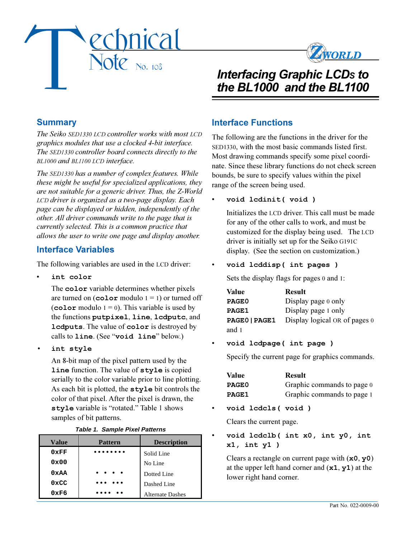



# *Interfacing Graphic LCDS to the BL1000 and the BL1100*

## **Summary**

*The Seiko SED1330 LCD controller works with most LCD graphics modules that use a clocked 4-bit interface. The SED1330 controller board connects directly to the BL1000 and BL1100 LCD interface.*

*The SED1330 has a number of complex features. While these might be useful for specialized applications, they are not suitable for a generic driver. Thus, the Z-World LCD driver is organized as a two-page display. Each page can be displayed or hidden, independently of the other. All driver commands write to the page that is currently selected. This is a common practice that allows the user to write one page and display another.*

### **Interface Variables**

The following variables are used in the LCD driver:

**int color**

The **color** variable determines whether pixels are turned on  $(color$  modulo  $1 = 1)$  or turned off (**color** modulo  $1 = 0$ ). This variable is used by the functions **putpixel**, **line**, **lcdputc**, and **lcdputs**. The value of **color** is destroyed by calls to **line**. (See "void line" below.)

**int style**

An 8-bit map of the pixel pattern used by the **line** function. The value of **style** is copied serially to the color variable prior to line plotting. As each bit is plotted, the **style** bit controls the color of that pixel. After the pixel is drawn, the style variable is "rotated." Table 1 shows samples of bit patterns.

|  |  | <b>Table 1. Sample Pixel Patterns</b> |
|--|--|---------------------------------------|
|  |  |                                       |

| <b>Value</b>  | <b>Pattern</b>                                                                                        | <b>Description</b>      |  |
|---------------|-------------------------------------------------------------------------------------------------------|-------------------------|--|
| 0xFF          |                                                                                                       | Solid Line              |  |
| 0x00          |                                                                                                       | No Line                 |  |
| 0xAA          | $\begin{array}{cccccccccccccc} \bullet & \bullet & \bullet & \bullet & \bullet & \bullet \end{array}$ | Dotted Line             |  |
| $0 \times CC$ |                                                                                                       | Dashed Line             |  |
| 0xF6          |                                                                                                       | <b>Alternate Dashes</b> |  |

## **Interface Functions**

The following are the functions in the driver for the SED1330, with the most basic commands listed first. Most drawing commands specify some pixel coordinate. Since these library functions do not check screen bounds, be sure to specify values within the pixel range of the screen being used.

#### **void lcdinit( void )**

Initializes the LCD driver. This call must be made for any of the other calls to work, and must be customized for the display being used. The LCD driver is initially set up for the Seiko G191C display. (See the section on customization.)

#### **void lcddisp( int pages )**

Sets the display flags for pages 0 and 1:

| <b>Value</b>  | <b>Result</b>                 |
|---------------|-------------------------------|
| PAGE0         | Display page 0 only           |
| PAGE1         | Display page 1 only           |
| PAGE0   PAGE1 | Display logical OR of pages 0 |
| and 1         |                               |

#### **void lcdpage( int page )**

Specify the current page for graphics commands.

| Value        | <b>Result</b>              |
|--------------|----------------------------|
| PAGE0        | Graphic commands to page 0 |
| <b>PAGE1</b> | Graphic commands to page 1 |

**void lcdcls( void )**

Clears the current page.

 **void lcdclb( int x0, int y0, int x1, int y1 )**

Clears a rectangle on current page with (**x0**, **y0**) at the upper left hand corner and (**x1**, **y1**) at the lower right hand corner.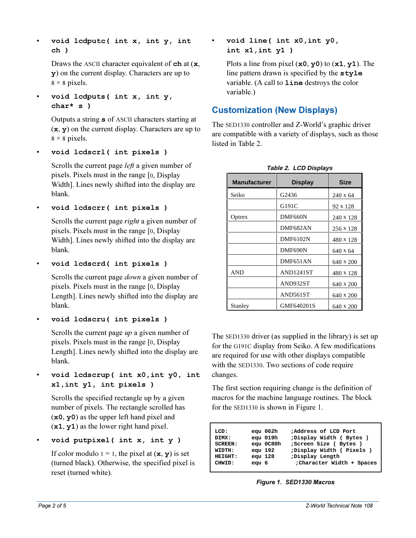**void lcdputc( int x, int y, int ch )**

Draws the ASCII character equivalent of **ch** at (**x**, **y**) on the current display. Characters are up to  $8 \times 8$  pixels.

 **void lcdputs( int x, int y, char\* s )**

> Outputs a string **s** of ASCII characters starting at (**x**, **y**) on the current display. Characters are up to  $8 \times 8$  pixels.

**void lcdscrl( int pixels )**

Scrolls the current page *left* a given number of pixels. Pixels must in the range [0, Display Width]. Lines newly shifted into the display are blank.

**void lcdscrr( int pixels )**

Scrolls the current page *right* a given number of pixels. Pixels must in the range [0, Display Width]. Lines newly shifted into the display are blank.

**void lcdscrd( int pixels )**

Scrolls the current page *down* a given number of pixels. Pixels must in the range [0, Display Length]. Lines newly shifted into the display are blank.

**void lcdscru( int pixels )**

Scrolls the current page *up* a given number of pixels. Pixels must in the range [0, Display Length]. Lines newly shifted into the display are blank.

 **void lcdscrup( int x0,int y0, int x1,int y1, int pixels )**

Scrolls the specified rectangle up by a given number of pixels. The rectangle scrolled has (**x0**, **y0**) as the upper left hand pixel and (**x1**, **y1**) as the lower right hand pixel.

**void putpixel( int x, int y )**

If color modulo  $1 = 1$ , the pixel at  $(\mathbf{x}, \mathbf{y})$  is set (turned black). Otherwise, the specified pixel is reset (turned white).

 **void line( int x0,int y0, int x1,int y1 )**

Plots a line from pixel (**x0**, **y0**) to (**x1**, **y1**). The line pattern drawn is specified by the **style** variable. (A call to **line** destroys the color variable.)

## **Customization (New Displays)**

The SED1330 controller and Z-World's graphic driver are compatible with a variety of displays, such as those listed in Table 2.

| <b>Manufacturer</b> | <b>Display</b>    | Size      |
|---------------------|-------------------|-----------|
| Seiko               | G <sub>2436</sub> | 240 x 64  |
|                     | G191C             | 92 x 128  |
| Optrex              | DMF660N           | 240 x 128 |
|                     | DMF682AN          | 256 x 128 |
|                     | <b>DMF6102N</b>   | 480 x 128 |
|                     | DMF690N           | 640 x 64  |
|                     | DMF651AN          | 640 x 200 |
| <b>AND</b>          | <b>AND1241ST</b>  | 480 x 128 |
|                     | AND932ST          | 640 x 200 |
|                     | AND561ST          | 640 x 200 |
| Stanley             | GMF640201S        | 640 x 200 |

**Table 2. LCD Displays**

The SED1330 driver (as supplied in the library) is set up for the G191C display from Seiko. A few modifications are required for use with other displays compatible with the SED1330. Two sections of code require changes.

The first section requiring change is the definition of macros for the machine language routines. The block for the SED1330 is shown in Figure 1.

| LCD:           | eau 062h  | ;Address of LCD Port      |
|----------------|-----------|---------------------------|
| DIMX:          | equ 019h  | ;Display Width (Bytes)    |
| <b>SCREEN:</b> | equ 0C80h | ; Screen Size ( Bytes )   |
| WIDTH:         | eau 192   | ;Display Width ( Pixels ) |
| HETGHT:        | eau 128   | ;Display Length           |
| CHWTD:         | equ 6     | :Character Width + Spaces |
|                |           |                           |

*Figure 1. SED1330 Macros*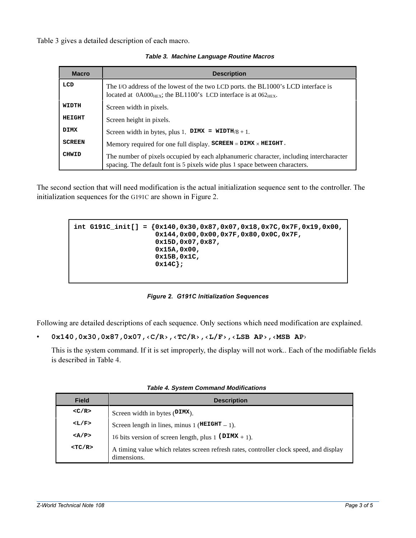Table 3 gives a detailed description of each macro.

| <b>Macro</b>  | <b>Description</b>                                                                                                                                                           |
|---------------|------------------------------------------------------------------------------------------------------------------------------------------------------------------------------|
| LCD           | The I/O address of the lowest of the two LCD ports, the BL1000's LCD interface is<br>located at $0A000_{\text{HEX}}$ ; the BL1100's LCD interface is at $062_{\text{HEX}}$ . |
| <b>WIDTH</b>  | Screen width in pixels.                                                                                                                                                      |
| HEIGHT        | Screen height in pixels.                                                                                                                                                     |
| <b>DIMX</b>   | Screen width in bytes, plus 1. DIMX = $WIDTH/8 + 1$ .                                                                                                                        |
| <b>SCREEN</b> | Memory required for one full display. $SCREEN = DIMX \times HEIGHT$ .                                                                                                        |
| CHWID         | The number of pixels occupied by each alphanumeric character, including intercharacter<br>spacing. The default font is 5 pixels wide plus 1 space between characters.        |

**Table 3. Machine Language Routine Macros**

The second section that will need modification is the actual initialization sequence sent to the controller. The initialization sequences for the G191C are shown in Figure 2.

```
int G191C_init[] = {0x140,0x30,0x87,0x07,0x18,0x7C,0x7F,0x19,0x00,
          0x144,0x00,0x00,0x7F,0x80,0x0C,0x7F,
          0x15D,0x07,0x87,
          0x15A,0x00,
          0x15B,0x1C,
          0x14C};
```
*Figure 2. G191C Initialization Sequences*

Following are detailed descriptions of each sequence. Only sections which need modification are explained.

```
0x140,0x30,0x87,0x07,\langle C/R\rangle,\langle TCR\rangle,\langle L/F\rangle,\langle LSB AP\rangle,\langle MSB AP\rangle
```
This is the system command. If it is set improperly, the display will not work.. Each of the modifiable fields is described in Table 4.

| <b>Field</b> | <b>Description</b>                                                                                    |
|--------------|-------------------------------------------------------------------------------------------------------|
| $<$ C/R $>$  | Screen width in bytes $(DIMX)$ .                                                                      |
| $<$ L $/F$ > | Screen length in lines, minus 1 ( $HETGHT = 1$ ).                                                     |
| $<$ A/P>     | 16 bits version of screen length, plus 1 ( $DTMX + 1$ ).                                              |
| $<$ TC/R>    | A timing value which relates screen refresh rates, controller clock speed, and display<br>dimensions. |

**Table 4. System Command Modifications**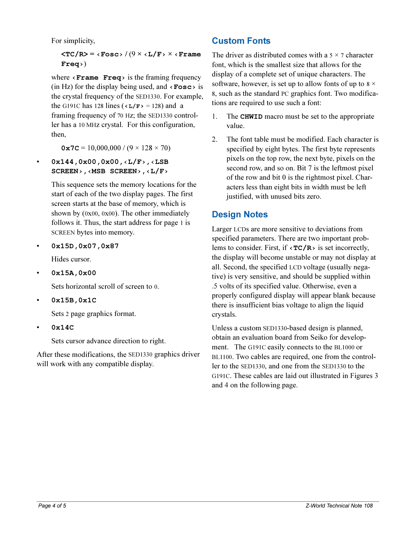For simplicity,

**<TC/R> = Fosc /** (9 **× L/F × Frame Freq**)

where  $\le$  **Frame Freq**  $\ge$  is the framing frequency (in Hz) for the display being used, and  $\langle$ **Fosc** $>$  is the crystal frequency of the SED1330. For example, the G191C has 128 lines ( $\langle L/F \rangle$  = 128) and a framing frequency of 70 Hz; the SED1330 controller has a 10 MHz crystal. For this configuration, then,

 $0x7C = 10,000,000 / (9 \times 128 \times 70)$ 

0x144,0x00,0x00,<L/F<sub>>,</sub><LSB SCREEN>, <MSB SCREEN>, <L/F>

> This sequence sets the memory locations for the start of each of the two display pages. The first screen starts at the base of memory, which is shown by (0x00, 0x00). The other immediately follows it. Thus, the start address for page 1 is SCREEN bytes into memory.

**0x15D,0x07,0x87**

Hides cursor.

**0x15A,0x00**

Sets horizontal scroll of screen to 0.

**0x15B,0x1C**

Sets 2 page graphics format.

**0x14C**

Sets cursor advance direction to right.

After these modifications, the SED1330 graphics driver will work with any compatible display.

## **Custom Fonts**

The driver as distributed comes with a  $5 \times 7$  character font, which is the smallest size that allows for the display of a complete set of unique characters. The software, however, is set up to allow fonts of up to  $8 \times$ 8, such as the standard PC graphics font. Two modifications are required to use such a font:

- 1. The **CHWID** macro must be set to the appropriate value.
- 2. The font table must be modified. Each character is specified by eight bytes. The first byte represents pixels on the top row, the next byte, pixels on the second row, and so on. Bit 7 is the leftmost pixel of the row and bit 0 is the rightmost pixel. Characters less than eight bits in width must be left justified, with unused bits zero.

## **Design Notes**

Larger LCDs are more sensitive to deviations from specified parameters. There are two important problems to consider. First, if  $\langle TC/R \rangle$  is set incorrectly, the display will become unstable or may not display at all. Second, the specified LCD voltage (usually negative) is very sensitive, and should be supplied within .5 volts of its specified value. Otherwise, even a properly configured display will appear blank because there is insufficient bias voltage to align the liquid crystals.

Unless a custom SED1330-based design is planned, obtain an evaluation board from Seiko for development. The G191C easily connects to the BL1000 or BL1100. Two cables are required, one from the controller to the SED1330, and one from the SED1330 to the G191C. These cables are laid out illustrated in Figures 3 and 4 on the following page.